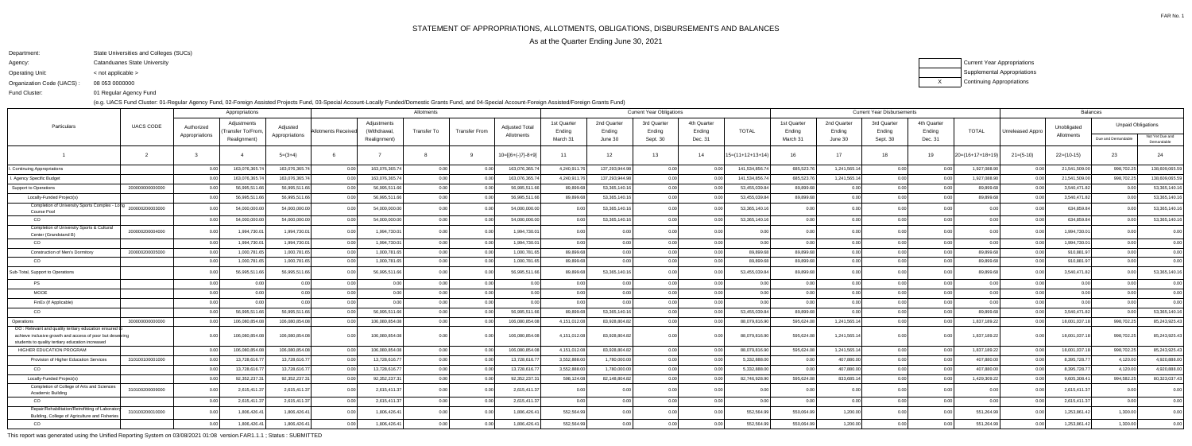FAR No. 1

Department:State Universities and Colleges (SUCs)

Agency:Catanduanes State University

Operating Unit:< not applicable >

Organization Code (UACS) :08 053 0000000 XCurrent Year Appropriations Supplemental AppropriationsContinuing Appropriations

 01 Regular Agency FundFund Cluster:

(e.g. UACS Fund Cluster: 01-Regular Agency Fund, 02-Foreign Assisted Projects Fund, 03-Special Account-Locally Funded/Domestic Grants Fund, and 04-Special Account-Foreign Assisted/Foreign Grants Fund)

|                                                                                                                                                                      |                  |                              | Appropriations                                   |                            |                     |                                             | Allotments  |                      | <b>Current Year Obligations</b>     |                                   |                                  |                                   |                                  | <b>Current Year Disbursements</b> |                                   |                                  |                                   |                                  |                  | <b>Balances</b>         |                           |                                                 |                 |  |
|----------------------------------------------------------------------------------------------------------------------------------------------------------------------|------------------|------------------------------|--------------------------------------------------|----------------------------|---------------------|---------------------------------------------|-------------|----------------------|-------------------------------------|-----------------------------------|----------------------------------|-----------------------------------|----------------------------------|-----------------------------------|-----------------------------------|----------------------------------|-----------------------------------|----------------------------------|------------------|-------------------------|---------------------------|-------------------------------------------------|-----------------|--|
| Particulars                                                                                                                                                          | <b>UACS CODE</b> | Authorized<br>Appropriations | Adjustments<br>Transfer To/From.<br>Realignment) | Adjusted<br>Appropriations | Allotments Received | Adjustments<br>(Withdrawal,<br>Realignment) | Transfer To | <b>Transfer From</b> | <b>Adjusted Total</b><br>Allotments | 1st Quarter<br>Ending<br>March 31 | 2nd Quarter<br>Ending<br>June 30 | 3rd Quarter<br>Ending<br>Sept. 30 | 4th Quarter<br>Ending<br>Dec. 31 | <b>TOTAL</b>                      | 1st Quarter<br>Ending<br>March 31 | 2nd Quarter<br>Ending<br>June 30 | 3rd Quarter<br>Ending<br>Sept. 30 | 4th Quarter<br>Ending<br>Dec. 31 | TOTAL            | <b>Unreleased Appro</b> | Unobligated<br>Allotments | <b>Unpaid Obligations</b><br>Due and Demandable | Not Yet Due and |  |
|                                                                                                                                                                      |                  |                              |                                                  |                            |                     |                                             |             |                      |                                     |                                   |                                  |                                   |                                  |                                   |                                   |                                  |                                   |                                  |                  |                         |                           |                                                 | Demandable      |  |
|                                                                                                                                                                      |                  |                              |                                                  | $5=(3+4)$                  |                     |                                             |             |                      | $10=[{6+(-)}7-8+9]$                 | 11                                | 12                               | 13                                | 14                               | 15=(11+12+13+14)                  | 16                                | 17                               | 18                                | 19                               | 20=(16+17+18+19) | $21 = (5-10)$           | $22=(10-15)$              | 23                                              | 24              |  |
| <b>Continuing Appropriations</b>                                                                                                                                     |                  | 0.00                         | 163,076,365.7                                    | 163,076,365.74             | 0.00                | 163,076,365.74                              | 0.00        | 0.00                 | 163,076,365.74                      | 4,240,911.76                      | 137,293,944.98                   | 0.00                              |                                  | 141,534,856.7                     | 685,523.76                        | 1,241,565.14                     | 0.00                              | 0.00                             | 1,927,088.90     | 0.00                    | 21,541,509.00             | 998,702.25                                      | 138,609,065.59  |  |
| Agency Specific Budget                                                                                                                                               |                  |                              | 163,076,365.74                                   | 163,076,365.74             | 0.00                | 163,076,365.74                              | 0.00        | 0.00                 | 163,076,365.74                      | 4,240,911.7                       | 137,293,944.98                   | 0.00                              |                                  | 141,534,856.74                    | 685,523.76                        | 1,241,565.14                     | 0.00                              | 0.00                             | 1,927,088.90     | 0.0                     | 21,541,509.00             | 998,702.25                                      | 138,609,065.59  |  |
| Support to Operations                                                                                                                                                | 200000000000000  |                              | 56,995,511.66                                    | 56,995,511.66              | 0.00                | 56,995,511.66                               | 0.00        | 0.00                 | 56,995,511.66                       | 89,899.68                         | 53,365,140.16                    | 0.00                              |                                  | 53,455,039.84                     | 89,899.68                         | 0.00 <sub>1</sub>                | 0.00                              |                                  | 89,899.68        | 0.00                    | 3,540,471.82              | 0.00                                            | 53,365,140.16   |  |
| Locally-Funded Project(s)                                                                                                                                            |                  | 0.00                         | 56,995,511.6                                     | 56,995,511.66              | n or                | 56,995,511.66                               | 0.00        | 0.00                 | 56,995,511.66                       | 89,899.68                         | 53,365,140.16                    | 0.00                              |                                  | 53,455,039.84                     | 89,899.68                         | 0.00                             | 0.00                              |                                  | 89,899.68        | 0.0                     | 3,540,471.82              | 0.00                                            | 53,365,140.16   |  |
| Completion of University Sports Complex - Loh<br><b>Course Pool</b>                                                                                                  | 200000200003000  |                              | 54,000,000.0                                     | 54,000,000.00              | 0.OC                | 54,000,000.00                               | 0.00        | 0.00                 | 54,000,000.00                       | 0.00                              | 53,365,140.16                    | 0.00                              |                                  | 53,365,140.16                     | 0.00                              | 0.00                             | 0.00                              | 0.00                             | 0 O              | 0 Q                     | 634,859.84                | 0.00                                            | 53,365,140.16   |  |
| CO                                                                                                                                                                   |                  | 0.00                         | 54,000,000.00                                    | 54,000,000.00              | 0.00                | 54,000,000.00                               | 0.00        | 0.00                 | 54,000,000.00                       | 0.00                              | 53,365,140.16                    | 0.00                              |                                  | 53,365,140.16                     | 0.00                              | 0.00                             | 0.00                              | 0.00                             | 0.00             | 0.0                     | 634,859.84                | 0.00                                            | 53,365,140.16   |  |
| Completion of University Sports & Cultural<br>Center (Grandstand B)                                                                                                  | 200000200004000  |                              | 1,994,730.0                                      | 1,994,730.01               | 0.00                | 1,994,730.01                                | 0.00        | 0.00                 | 1,994,730.01                        | 0.00                              | 0.00                             | 0.00                              |                                  | 0.00                              | 0.00                              | 0.00                             | 0.00                              | 0.00                             | 0.0              | 0.0                     | 1,994,730.01              | 0.00                                            | 0.00            |  |
| CO                                                                                                                                                                   |                  | 0.00                         | 1,994,730.0                                      | 1,994,730.01               | 0 Q                 | 1,994,730.01                                | 0.00        | 0.00                 | 1,994,730.01                        | 0.00                              | 0.00 <sub>1</sub>                | 0.00                              | 0.00                             | 0.00                              | 0.00                              | 0.00                             | 0.00                              | 0.00                             | 0.00             | 0.00                    | 1,994,730.01              | 0.00                                            | 0.00            |  |
| <b>Construction of Men's Dormitory</b>                                                                                                                               | 200000200005000  |                              | 1,000,781.65                                     | 1,000,781.65               | 0.00                | 1,000,781.65                                | 0.00        | 0.00                 | 1,000,781.65                        | 89,899.68                         | 0.00                             | 0.00                              |                                  | 89,899.68                         | 89,899.68                         | 0.00                             | 0.00                              | 0.00                             | 89,899.68        | 0.0                     | 910,881.97                | 0.00                                            | 0.00            |  |
| CO                                                                                                                                                                   |                  | 0.00                         | 1,000,781.65                                     | 1,000,781.65               | 0.00                | 1,000,781.65                                | 0.00        | 0.00                 | 1,000,781.65                        | 89,899.68                         | 0.00 <sub>1</sub>                | 0.00                              |                                  | 89,899.68                         | 89,899.68                         | 0.00                             | 0.00                              | 0.00                             | 89,899.68        | 0.00                    | 910,881.97                | 0.00                                            | 0.00            |  |
| Sub-Total, Support to Operations                                                                                                                                     |                  |                              | 56,995,511.66                                    | 56,995,511.66              |                     | 56,995,511.66                               | 0.00        | 0.00                 | 56,995,511.66                       | 89,899.68                         | 53,365,140.16                    | 0.00                              |                                  | 53,455,039.84                     | 89,899.68                         | 0.00                             | 0.00                              |                                  | 89,899.68        | 0 Q                     | 3,540,471.82              | 0.00                                            | 53,365,140.16   |  |
| <b>PS</b>                                                                                                                                                            |                  | 0.00                         |                                                  | 0.00                       | 0.00                | 0.00                                        | 0.00        | 0.00                 | 0.00                                | 0.00                              | 0.00                             | 0.00                              | 0.00                             | 0.00                              | 0.00                              | 0.00                             | 0.00                              | 0.00                             | 0.00             | 0.00                    | 0.00                      | 0.00                                            | 0.00            |  |
| <b>MOOE</b>                                                                                                                                                          |                  | 0.00                         |                                                  | 0.00                       | 0.00                | 0.00                                        | 0.00        | 0.00                 | 0.00                                | 0.00                              | 0.00                             | 0.00                              |                                  | 0.00                              | 0.00                              | 0.00                             | 0.00                              | 0.00                             | 0.00             | 0.00                    | 0.00                      | 0.00                                            | 0.00            |  |
| FinEx (if Applicable)                                                                                                                                                |                  | 0.00                         |                                                  | 0.00                       | 0.00                | 0.00                                        | 0.00        | 0.00                 | 0.00                                | 0.00                              | 0.00                             | 0.00                              |                                  | 0.00                              | 0.00                              | 0.00                             | 0.00                              | 0.00                             | 0.00             | 0.00                    | 0.00                      | 0.00                                            | 0.00            |  |
| CO                                                                                                                                                                   |                  |                              | 56,995,511.66                                    | 56,995,511.66              |                     | 56,995,511.66                               | 0.00        | 0.00                 | 56,995,511.66                       | 89,899.68                         | 53,365,140.16                    | 0.00                              |                                  | 53,455,039.84                     | 89,899.68                         | 0.00                             | 0.00                              | 0.00                             | 89,899.68        | 0.00                    | 3,540,471.82              | 0.00                                            | 53,365,140.16   |  |
| Operations                                                                                                                                                           | 300000000000000  |                              | 106,080,854.08                                   | 106,080,854.08             | 0.00                | 106,080,854.08                              | 0.00        | 0.00                 | 106,080,854.08                      | 4,151,012.08                      | 83,928,804.82                    | 0.00                              |                                  | 88,079,816.90                     | 595,624.08                        | 1,241,565.14                     | 0.00                              |                                  | 1,837,189.22     | 0.0                     | 18,001,037.18             | 998,702.25                                      | 85,243,925.43   |  |
| OO: Relevant and quality tertiary education ensured<br>achieve inclusive growth and access of poor but deselving<br>students to quality tertiary education increased |                  | 0.00                         | 106.080.854.08                                   | 106.080.854.08             | 0.00                | 106.080.854.08                              | 0.00        | 0.00                 | 106,080,854.08                      | 4,151,012.08                      | 83,928,804.82                    | 0.00                              |                                  | 88,079,816.90                     | 595,624.08                        | 1,241,565.14                     | 0.00                              | 0.00                             | 1,837,189.22     | 0.00                    | 18,001,037.18             | 998,702.25                                      | 85,243,925.43   |  |
| HIGHER EDUCATION PROGRAM                                                                                                                                             |                  | 0.00                         | 106,080,854.08                                   | 106,080,854.08             | $0.00\,$            | 106,080,854.08                              | 0.00        | 0.00                 | 106,080,854.08                      | 4,151,012.08                      | 83,928,804.82                    | 0.00                              | 0.00                             | 88,079,816.90                     | 595,624.08                        | 1,241,565.14                     | 0.00                              | 0.00                             | 1,837,189.22     | 0.00                    | 18,001,037.18             | 998,702.25                                      | 85,243,925.43   |  |
| Provision of Higher Education Services                                                                                                                               | 310100100001000  | 0.00                         | 13,728,616.77                                    | 13,728,616.77              | 0.00                | 13,728,616.77                               | 0.00        | 0.00                 | 13,728,616.77                       | 3,552,888.00                      | 1,780,000.00                     | 0.00                              |                                  | 5,332,888.00                      | 0.00                              | 407,880.00                       | 0.00                              | 0.00                             | 407,880.00       | 0.00                    | 8,395,728.77              | 4,120.00                                        | 4,920,888.00    |  |
| CO                                                                                                                                                                   |                  |                              | 13,728,616.7                                     | 13,728,616.77              |                     | 13,728,616.77                               | 0.00        | 0.00                 | 13,728,616.77                       | 3,552,888.00                      | 1,780,000.00                     | 0.00                              |                                  | 5,332,888.00                      |                                   | 407,880.00                       | 0.00                              |                                  | 407,880.00       | 0.0                     | 8,395,728.77              | 4,120.00                                        | 4,920,888.00    |  |
| Locally-Funded Project(s)                                                                                                                                            |                  | 0.00                         | 92,352,237.3                                     | 92,352,237.31              | 0.00                | 92,352,237.31                               | 0.00        | 0.00                 | 92,352,237.31                       | 598,124.08                        | 82,148,804.82                    | 0.00                              |                                  | 82,746,928.90                     | 595,624.08                        | 833,685.14                       | 0.00                              | 0.00                             | 1,429,309.22     | 0.00                    | 9,605,308.41              | 994,582.25                                      | 80,323,037.43   |  |
| Completion of College of Arts and Sciences<br>Academic Building                                                                                                      | 310100200009000  |                              | 2,615,411.3                                      | 2,615,411.3                | 0 Q                 | 2,615,411.37                                | 0.00        | 0.00                 | 2,615,411.37                        | 0.00                              | 0.00                             | 0.00                              |                                  |                                   |                                   | 0.00                             |                                   |                                  | 0 <sub>0</sub>   | 0 Q                     | 2,615,411.37              | 0.00                                            | 0.00            |  |
| CO                                                                                                                                                                   |                  | 0.00                         | 2,615,411.3                                      | 2,615,411.37               | 0.00                | 2,615,411.37                                | 0.00        | 0.00                 | 2,615,411.37                        | 0.00                              | 0.00                             | 0.00                              |                                  | 0.00                              | 0.00                              | 0.00                             | 0.00                              | 0.00                             | 0.00             | 0.00                    | 2,615,411.37              | 0.00                                            | 0.00            |  |
| Repair/Rehabilitation/Retrofitting of Laborato<br>Building, College of Agriculture and Fisheries                                                                     | 310100200010000  |                              | 1,806,426.4                                      | 1,806,426.41               |                     | 1,806,426.41                                | 0.00        | 0.00                 | 1,806,426.41                        | 552,564.99                        |                                  | 0.00                              |                                  | 552,564.99                        | 550,064.99                        | 1,200.00                         |                                   |                                  | 551,264.99       | 0 Q                     | 1,253,861.42              | 1,300.00                                        | 0.00            |  |
| CO                                                                                                                                                                   |                  | 0.00                         | 1,806,426.4                                      | 1,806,426.41               | n nr                | 1,806,426.41                                | 0.00        | 0.00                 | 1,806,426.41                        | 552,564.99                        | 0.00                             | 0.00                              |                                  | 552,564.99                        | 550,064.99                        | 1,200.00                         | 0.00                              |                                  | 551,264.99       | 0.00                    | 1,253,861.42              | 1,300.00                                        | 0.00            |  |
|                                                                                                                                                                      |                  |                              |                                                  |                            |                     |                                             |             |                      |                                     |                                   |                                  |                                   |                                  |                                   |                                   |                                  |                                   |                                  |                  |                         |                           |                                                 |                 |  |

This report was generated using the Unified Reporting System on 03/08/2021 01:08 version.FAR1.1.1 ; Status : SUBMITTED